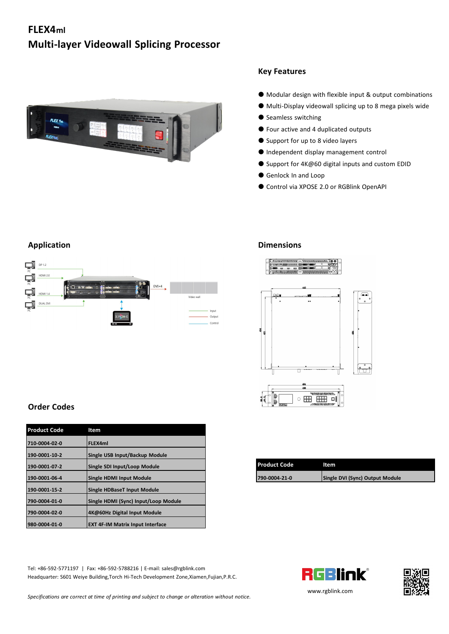# **FLEX4ml Multi-layer Videowall Splicing Processor**



#### **Key Features**

- Modular design with flexible input & output combinations
- Multi-Display videowall splicing up to 8 mega pixels wide
- Seamless switching
- Four active and 4 duplicated outputs
- Support for up to 8 video layers
- Independent display management control
- Support for 4K@60 digital inputs and custom EDID
- Genlock In and Loop
- Control via XPOSE 2.0 or RGBlink OpenAPI

#### $\Box$   $P^{1.2}$ HDMI 2.0 ÇĪ **THE**  $DVI \times 4$  $\mathbf{F}$ ÇĪ DUAL DV Output

### **Application Dimensions**



| 190-0001-07-2 | Single SDI Input/Loop Module | <b>Product Code</b> | ltem                            |
|---------------|------------------------------|---------------------|---------------------------------|
| 190-0001-06-4 | Single HDMI Input Module     | 790-0004-21-0       | Single DVI (Sync) Output Module |
|               |                              |                     |                                 |

## **Order Codes**

| <b>Product Code</b> | Item                                    |  |
|---------------------|-----------------------------------------|--|
| 710-0004-02-0       | FLEX4ml                                 |  |
| 190-0001-10-2       | Single USB Input/Backup Module          |  |
| 190-0001-07-2       | Single SDI Input/Loop Module            |  |
| 190-0001-06-4       | <b>Single HDMI Input Module</b>         |  |
| 190-0001-15-2       | <b>Single HDBaseT Input Module</b>      |  |
| 790-0004-01-0       | Single HDMI (Sync) Input/Loop Module    |  |
| 790-0004-02-0       | 4K@60Hz Digital Input Module            |  |
| 980-0004-01-0       | <b>EXT 4F-IM Matrix Input Interface</b> |  |

Tel: +86-592-5771197 | Fax: +86-592-5788216 | E-mail: sales@rgblink.com<br>Headquarter: S601 Weive Building Torch Hi-Tech Development Zone Xiamen Fujian P.R.C. Headquarter: S601 Weiye Building,Torch Hi-Tech Development Zone,Xiamen,Fujian,P.R.C.

*Specifications are correct at time of printing and subject to change or alteration without notice.*